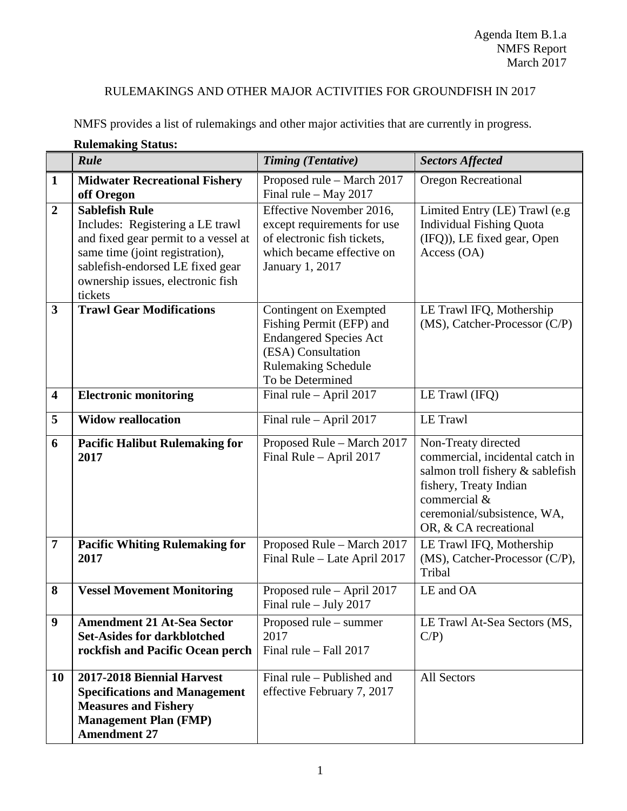## RULEMAKINGS AND OTHER MAJOR ACTIVITIES FOR GROUNDFISH IN 2017

NMFS provides a list of rulemakings and other major activities that are currently in progress.

|                         | Rulemaking Status:<br>Rule                                                                                                                                                                                               | <b>Timing (Tentative)</b>                                                                                                                                   |                                                                                                                                                                                              |
|-------------------------|--------------------------------------------------------------------------------------------------------------------------------------------------------------------------------------------------------------------------|-------------------------------------------------------------------------------------------------------------------------------------------------------------|----------------------------------------------------------------------------------------------------------------------------------------------------------------------------------------------|
|                         |                                                                                                                                                                                                                          |                                                                                                                                                             | <b>Sectors Affected</b>                                                                                                                                                                      |
| $\mathbf{1}$            | <b>Midwater Recreational Fishery</b><br>off Oregon                                                                                                                                                                       | Proposed rule - March 2017<br>Final rule $-$ May 2017                                                                                                       | <b>Oregon Recreational</b>                                                                                                                                                                   |
| $\overline{2}$          | <b>Sablefish Rule</b><br>Includes: Registering a LE trawl<br>and fixed gear permit to a vessel at<br>same time (joint registration),<br>sablefish-endorsed LE fixed gear<br>ownership issues, electronic fish<br>tickets | Effective November 2016,<br>except requirements for use<br>of electronic fish tickets,<br>which became effective on<br>January 1, 2017                      | Limited Entry (LE) Trawl (e.g<br><b>Individual Fishing Quota</b><br>(IFQ)), LE fixed gear, Open<br>Access (OA)                                                                               |
| 3                       | <b>Trawl Gear Modifications</b>                                                                                                                                                                                          | Contingent on Exempted<br>Fishing Permit (EFP) and<br><b>Endangered Species Act</b><br>(ESA) Consultation<br><b>Rulemaking Schedule</b><br>To be Determined | LE Trawl IFQ, Mothership<br>(MS), Catcher-Processor (C/P)                                                                                                                                    |
| $\overline{\mathbf{4}}$ | <b>Electronic monitoring</b>                                                                                                                                                                                             | Final rule - April 2017                                                                                                                                     | LE Trawl (IFQ)                                                                                                                                                                               |
| 5                       | <b>Widow reallocation</b>                                                                                                                                                                                                | Final rule $-$ April 2017                                                                                                                                   | <b>LE Trawl</b>                                                                                                                                                                              |
| 6                       | <b>Pacific Halibut Rulemaking for</b><br>2017                                                                                                                                                                            | Proposed Rule - March 2017<br>Final Rule - April 2017                                                                                                       | Non-Treaty directed<br>commercial, incidental catch in<br>salmon troll fishery & sablefish<br>fishery, Treaty Indian<br>commercial &<br>ceremonial/subsistence, WA,<br>OR, & CA recreational |
| $\overline{7}$          | <b>Pacific Whiting Rulemaking for</b><br>2017                                                                                                                                                                            | Proposed Rule - March 2017<br>Final Rule - Late April 2017                                                                                                  | LE Trawl IFQ, Mothership<br>(MS), Catcher-Processor (C/P),<br>Tribal                                                                                                                         |
| 8                       | <b>Vessel Movement Monitoring</b>                                                                                                                                                                                        | Proposed rule – April 2017<br>Final rule - July 2017                                                                                                        | LE and OA                                                                                                                                                                                    |
| 9                       | <b>Amendment 21 At-Sea Sector</b><br><b>Set-Asides for darkblotched</b><br>rockfish and Pacific Ocean perch                                                                                                              | Proposed rule – summer<br>2017<br>Final rule - Fall 2017                                                                                                    | LE Trawl At-Sea Sectors (MS,<br>$C/P$ )                                                                                                                                                      |
| <b>10</b>               | 2017-2018 Biennial Harvest<br><b>Specifications and Management</b><br><b>Measures and Fishery</b><br><b>Management Plan (FMP)</b><br><b>Amendment 27</b>                                                                 | Final rule – Published and<br>effective February 7, 2017                                                                                                    | All Sectors                                                                                                                                                                                  |

## **Rulemaking Status:**